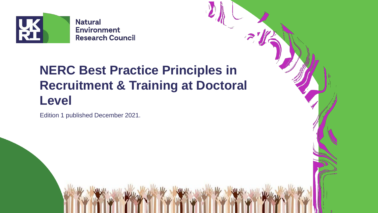

# **NERC Best Practice Principles in Recruitment & Training at Doctoral Level**

Edition 1 published December 2021.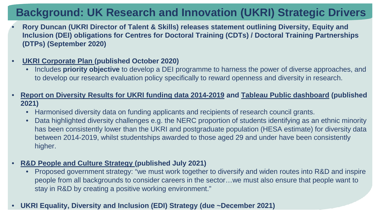## **Background: UK Research and Innovation (UKRI) Strategic Drivers**

- **Rory Duncan (UKRI Director of Talent & Skills) releases statement outlining Diversity, Equity and Inclusion (DEI) obligations for Centres for Doctoral Training (CDTs) / Doctoral Training Partnerships (DTPs) (September 2020)**
- **[UKRI Corporate Plan \(](https://www.ukri.org/wp-content/uploads/2020/10/UKRI-091020-CorporatePlan2020-21.pdf)published October 2020)**
	- Includes **priority objective** to develop a DEI programme to harness the power of diverse approaches, and to develop our research evaluation policy specifically to reward openness and diversity in research.
- **[Report on Diversity Results for UKRI funding data 2014-2019](https://www.ukri.org/wp-content/uploads/2021/03/UKRI-300321-DiversityResultsForUKRIFundingData2014-20.pdf) and [Tableau Public dashboard](https://public.tableau.com/app/profile/uk.research.and.innovation.ukri./viz/EDIfundingdata2021/Awardrate) (published 2021)**
	- Harmonised diversity data on funding applicants and recipients of research council grants.
	- Data highlighted diversity challenges e.g. the NERC proportion of students identifying as an ethnic minority has been consistently lower than the UKRI and postgraduate population (HESA estimate) for diversity data between 2014-2019, whilst studentships awarded to those aged 29 and under have been consistently higher.
- **[R&D People and Culture Strategy](https://assets.publishing.service.gov.uk/government/uploads/system/uploads/attachment_data/file/1004685/r_d-people-culture-strategy.pdf) (published July 2021)**
	- Proposed government strategy: "we must work together to diversify and widen routes into R&D and inspire people from all backgrounds to consider careers in the sector…we must also ensure that people want to stay in R&D by creating a positive working environment."

#### • **UKRI Equality, Diversity and Inclusion (EDI) Strategy (due ~December 2021)**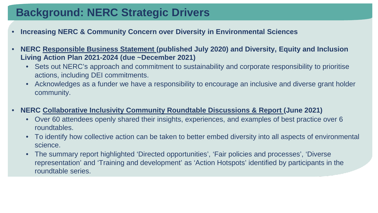## **Background: NERC Strategic Drivers**

- **Increasing NERC & Community Concern over Diversity in Environmental Sciences**
- **NERC [Responsible Business Statement](https://nerc.ukri.org/about/policy/responsible/statement/) (published July 2020) and Diversity, Equity and Inclusion Living Action Plan 2021-2024 (due ~December 2021)**
	- Sets out NERC's approach and commitment to sustainability and corporate responsibility to prioritise actions, including DEI commitments.
	- Acknowledges as a funder we have a responsibility to encourage an inclusive and diverse grant holder community.
- **NERC [Collaborative Inclusivity Community Roundtable Discussions & Report](https://www.ukri.org/wp-content/uploads/2021/08/UKRI-310821-Advancing-EDI-Report-Web-Enabled.pdf) (June 2021)**
	- Over 60 attendees openly shared their insights, experiences, and examples of best practice over 6 roundtables.
	- To identify how collective action can be taken to better embed diversity into all aspects of environmental science.
	- The summary report highlighted 'Directed opportunities', 'Fair policies and processes', 'Diverse representation' and 'Training and development' as 'Action Hotspots' identified by participants in the roundtable series.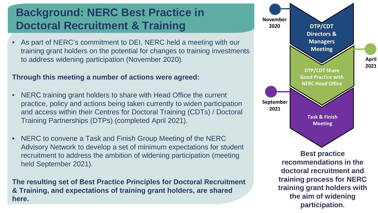## **Background: NERC Best Practice in Doctoral Recruitment & Training**

• As part of NERC's commitment to DEI, NERC held a meeting with our training grant holders on the potential for changes to training investments to address widening participation (November 2020).

#### **Through this meeting a number of actions were agreed:**

- NERC training grant holders to share with Head Office the current practice, policy and actions being taken currently to widen participation and access within their Centres for Doctoral Training (CDTs) / Doctoral Training Partnerships (DTPs) (completed April 2021).
- NERC to convene a Task and Finish Group Meeting of the NERC Advisory Network to develop a set of minimum expectations for student recruitment to address the ambition of widening participation (meeting held September 2021).

**The resulting set of Best Practice Principles for Doctoral Recruitment & Training, and expectations of training grant holders, are shared here.**

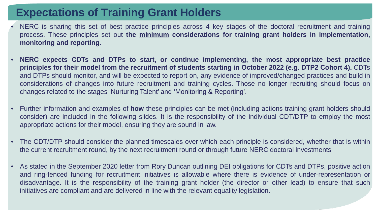## **Expectations of Training Grant Holders**

- NERC is sharing this set of best practice principles across 4 key stages of the doctoral recruitment and training process. These principles set out **the minimum considerations for training grant holders in implementation, monitoring and reporting.**
- **NERC expects CDTs and DTPs to start, or continue implementing, the most appropriate best practice** principles for their model from the recruitment of students starting in October 2022 (e.g. DTP2 Cohort 4). CDTs and DTPs should monitor, and will be expected to report on, any evidence of improved/changed practices and build in considerations of changes into future recruitment and training cycles. Those no longer recruiting should focus on changes related to the stages 'Nurturing Talent' and 'Monitoring & Reporting'.
- Further information and examples of **how** these principles can be met (including actions training grant holders should consider) are included in the following slides. It is the responsibility of the individual CDT/DTP to employ the most appropriate actions for their model, ensuring they are sound in law.
- The CDT/DTP should consider the planned timescales over which each principle is considered, whether that is within the current recruitment round, by the next recruitment round or through future NERC doctoral investments
- As stated in the September 2020 letter from Rory Duncan outlining DEI obligations for CDTs and DTPs, positive action and ring-fenced funding for recruitment initiatives is allowable where there is evidence of under-representation or disadvantage. It is the responsibility of the training grant holder (the director or other lead) to ensure that such initiatives are compliant and are delivered in line with the relevant equality legislation.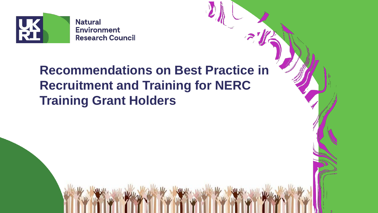

**Recommendations on Best Practice in Recruitment and Training for NERC Training Grant Holders**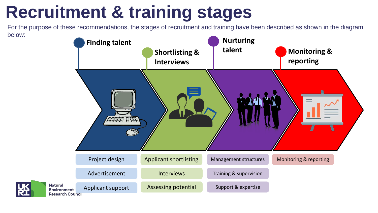# **Recruitment & training stages**

For the purpose of these recommendations, the stages of recruitment and training have been described as shown in the diagram below:

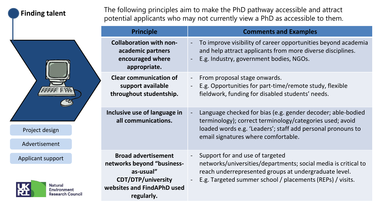#### **Finding talent**

Project design

Advertisement

Applicant support

The following principles aim to make the PhD pathway accessible and attract potential applicants who may not currently view a PhD as accessible to them.

|                                                                                           | <b>Principle</b>                                                                                                                               | <b>Comments and Examples</b>                                                                                                                                                                                                  |
|-------------------------------------------------------------------------------------------|------------------------------------------------------------------------------------------------------------------------------------------------|-------------------------------------------------------------------------------------------------------------------------------------------------------------------------------------------------------------------------------|
| sign<br>nent<br>ipport<br><b>Natural</b><br><b>Environment</b><br><b>Research Council</b> | <b>Collaboration with non-</b><br>academic partners<br>encouraged where<br>appropriate.                                                        | To improve visibility of career opportunities beyond academia<br>and help attract applicants from more diverse disciplines.<br>E.g. Industry, government bodies, NGOs.                                                        |
|                                                                                           | <b>Clear communication of</b><br>support available<br>throughout studentship.                                                                  | From proposal stage onwards.<br>E.g. Opportunities for part-time/remote study, flexible<br>fieldwork, funding for disabled students' needs.                                                                                   |
|                                                                                           | Inclusive use of language in<br>all communications.                                                                                            | Language checked for bias (e.g. gender decoder; able-bodied<br>terminology); correct terminology/categories used; avoid<br>loaded words e.g. 'Leaders'; staff add personal pronouns to<br>email signatures where comfortable. |
|                                                                                           | <b>Broad advertisement</b><br>networks beyond "business-<br>as-usual"<br><b>CDT/DTP/university</b><br>websites and FindAPhD used<br>regularly. | Support for and use of targeted<br>networks/universities/departments; social media is critical to<br>reach underrepresented groups at undergraduate level.<br>E.g. Targeted summer school / placements (REPs) / visits.       |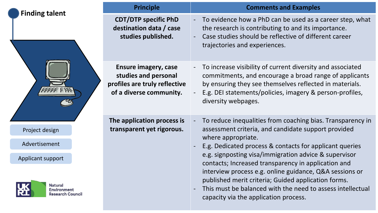|                                                                                      | <b>Principle</b>                                                                                                | <b>Comments and Examples</b>                                                                                                                                                                                                                                                                                                          |
|--------------------------------------------------------------------------------------|-----------------------------------------------------------------------------------------------------------------|---------------------------------------------------------------------------------------------------------------------------------------------------------------------------------------------------------------------------------------------------------------------------------------------------------------------------------------|
| <b>Finding talent</b>                                                                | <b>CDT/DTP specific PhD</b><br>destination data / case<br>studies published.                                    | To evidence how a PhD can be used as a career step, what<br>the research is contributing to and its importance.<br>Case studies should be reflective of different career<br>trajectories and experiences.                                                                                                                             |
|                                                                                      | <b>Ensure imagery, case</b><br>studies and personal<br>profiles are truly reflective<br>of a diverse community. | To increase visibility of current diversity and associated<br>commitments, and encourage a broad range of applicants<br>by ensuring they see themselves reflected in materials.<br>E.g. DEI statements/policies, imagery & person-profiles,<br>diversity webpages.                                                                    |
| Project design                                                                       | The application process is<br>transparent yet rigorous.                                                         | To reduce inequalities from coaching bias. Transparency in<br>assessment criteria, and candidate support provided                                                                                                                                                                                                                     |
| Advertisement                                                                        |                                                                                                                 | where appropriate.<br>E.g. Dedicated process & contacts for applicant queries                                                                                                                                                                                                                                                         |
| Applicant support<br><b>Natural</b><br><b>Environment</b><br><b>Research Council</b> |                                                                                                                 | e.g. signposting visa/immigration advice & supervisor<br>contacts; Increased transparency in application and<br>interview process e.g. online guidance, Q&A sessions or<br>published merit criteria; Guided application forms.<br>This must be balanced with the need to assess intellectual<br>capacity via the application process. |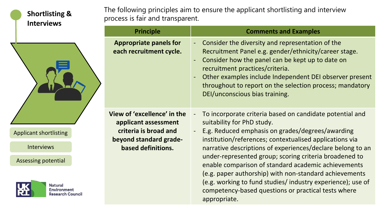#### **Shortlisting & Interviews**

Applicant shortlisting

Interviews

Assessing potential

**Natural Environment Research Council**  The following principles aim to ensure the applicant shortlisting and interview process is fair and transparent.

| <b>Principle</b>                                                                                                             | <b>Comments and Examples</b>                                                                                                                                                                                                                                                                                                                                                                                                                                                                                                                                                                                                      |
|------------------------------------------------------------------------------------------------------------------------------|-----------------------------------------------------------------------------------------------------------------------------------------------------------------------------------------------------------------------------------------------------------------------------------------------------------------------------------------------------------------------------------------------------------------------------------------------------------------------------------------------------------------------------------------------------------------------------------------------------------------------------------|
| <b>Appropriate panels for</b><br>each recruitment cycle.                                                                     | Consider the diversity and representation of the<br>$\blacksquare$<br>Recruitment Panel e.g. gender/ethnicity/career stage.<br>Consider how the panel can be kept up to date on<br>$\blacksquare$<br>recruitment practices/criteria.<br>Other examples include Independent DEI observer present<br>$\overline{\phantom{a}}$<br>throughout to report on the selection process; mandatory<br>DEI/unconscious bias training.                                                                                                                                                                                                         |
| View of 'excellence' in the<br>applicant assessment<br>criteria is broad and<br>beyond standard grade-<br>based definitions. | To incorporate criteria based on candidate potential and<br>$\overline{\phantom{a}}$<br>suitability for PhD study.<br>E.g. Reduced emphasis on grades/degrees/awarding<br>$\blacksquare$<br>institution/references; contextualised applications via<br>narrative descriptions of experiences/declare belong to an<br>under-represented group; scoring criteria broadened to<br>enable comparison of standard academic achievements<br>(e.g. paper authorship) with non-standard achievements<br>(e.g. working to fund studies/industry experience); use of<br>competency-based questions or practical tests where<br>appropriate. |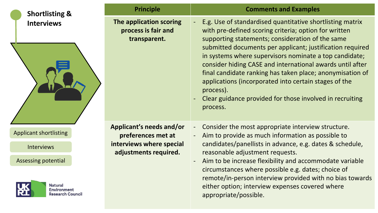| <b>Shortlisting &amp;</b>                                       | <b>Principle</b>                                                                                    | <b>Comments and Examples</b>                                                                                                                                                                                                                                                                                                                                                                                                                                                                                                                                          |
|-----------------------------------------------------------------|-----------------------------------------------------------------------------------------------------|-----------------------------------------------------------------------------------------------------------------------------------------------------------------------------------------------------------------------------------------------------------------------------------------------------------------------------------------------------------------------------------------------------------------------------------------------------------------------------------------------------------------------------------------------------------------------|
| <b>Interviews</b>                                               | The application scoring<br>process is fair and<br>transparent.                                      | E.g. Use of standardised quantitative shortlisting matrix<br>with pre-defined scoring criteria; option for written<br>supporting statements; consideration of the same<br>submitted documents per applicant; justification required<br>in systems where supervisors nominate a top candidate;<br>consider hiding CASE and international awards until after<br>final candidate ranking has taken place; anonymisation of<br>applications (incorporated into certain stages of the<br>process).<br>Clear guidance provided for those involved in recruiting<br>process. |
| <b>Applicant shortlisting</b><br><b>Interviews</b>              | Applicant's needs and/or<br>preferences met at<br>interviews where special<br>adjustments required. | Consider the most appropriate interview structure.<br>$\blacksquare$<br>Aim to provide as much information as possible to<br>$\blacksquare$<br>candidates/panellists in advance, e.g. dates & schedule,<br>reasonable adjustment requests.                                                                                                                                                                                                                                                                                                                            |
| Assessing potential                                             |                                                                                                     | Aim to be increase flexibility and accommodate variable                                                                                                                                                                                                                                                                                                                                                                                                                                                                                                               |
| <b>Natural</b><br><b>Environment</b><br><b>Research Council</b> |                                                                                                     | circumstances where possible e.g. dates; choice of<br>remote/in-person interview provided with no bias towards<br>either option; interview expenses covered where<br>appropriate/possible.                                                                                                                                                                                                                                                                                                                                                                            |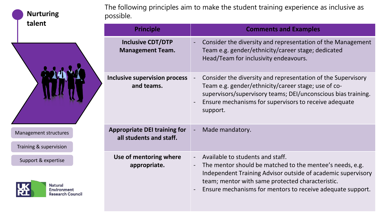| <b>Nurturing</b><br>talent |
|----------------------------|
|                            |

Management structures

Training & supervision

Support & expertise



| The following principles aim to make the student training experience as inclusive as |
|--------------------------------------------------------------------------------------|
| possible.                                                                            |

| <b>Principle</b>                                               | <b>Comments and Examples</b>                                                                                                                                                                                                                                                   |  |
|----------------------------------------------------------------|--------------------------------------------------------------------------------------------------------------------------------------------------------------------------------------------------------------------------------------------------------------------------------|--|
| <b>Inclusive CDT/DTP</b><br><b>Management Team.</b>            | Consider the diversity and representation of the Management<br>Team e.g. gender/ethnicity/career stage; dedicated<br>Head/Team for inclusivity endeavours.                                                                                                                     |  |
| <b>Inclusive supervision process</b><br>and teams.             | Consider the diversity and representation of the Supervisory<br>Team e.g. gender/ethnicity/career stage; use of co-<br>supervisors/supervisory teams; DEI/unconscious bias training.<br>Ensure mechanisms for supervisors to receive adequate<br>support.                      |  |
| <b>Appropriate DEI training for</b><br>all students and staff. | Made mandatory.                                                                                                                                                                                                                                                                |  |
| Use of mentoring where<br>appropriate.                         | Available to students and staff.<br>The mentor should be matched to the mentee's needs, e.g.<br>Independent Training Advisor outside of academic supervisory<br>team; mentor with same protected characteristic.<br>Ensure mechanisms for mentors to receive adequate support. |  |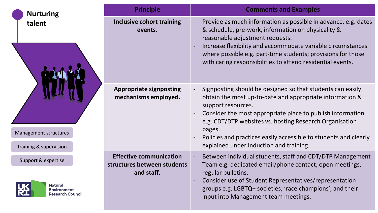| <b>Nurturing</b>                                            | <b>Principle</b>                                                            | <b>Comments and Examples</b>                                                                                                                                                                                                                                                                                                                         |
|-------------------------------------------------------------|-----------------------------------------------------------------------------|------------------------------------------------------------------------------------------------------------------------------------------------------------------------------------------------------------------------------------------------------------------------------------------------------------------------------------------------------|
| talent                                                      | <b>Inclusive cohort training</b><br>events.                                 | Provide as much information as possible in advance, e.g. dates<br>& schedule, pre-work, information on physicality &<br>reasonable adjustment requests.<br>Increase flexibility and accommodate variable circumstances<br>where possible e.g. part-time students; provisions for those<br>with caring responsibilities to attend residential events. |
| <b>Management structures</b>                                | <b>Appropriate signposting</b><br>mechanisms employed.                      | Signposting should be designed so that students can easily<br>obtain the most up-to-date and appropriate information &<br>support resources.<br>Consider the most appropriate place to publish information<br>e.g. CDT/DTP websites vs. hosting Research Organisation<br>pages.<br>Policies and practices easily accessible to students and clearly  |
| Training & supervision                                      |                                                                             | explained under induction and training.                                                                                                                                                                                                                                                                                                              |
| Support & expertise<br><b>Natural</b><br><b>Environment</b> | <b>Effective communication</b><br>structures between students<br>and staff. | Between individual students, staff and CDT/DTP Management<br>Team e.g. dedicated email/phone contact, open meetings,<br>regular bulletins.<br>Consider use of Student Representatives/representation<br>groups e.g. LGBTQ+ societies, 'race champions', and their                                                                                    |
| <b>Research Council</b>                                     |                                                                             | input into Management team meetings.                                                                                                                                                                                                                                                                                                                 |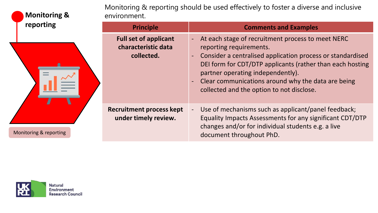| <b>Monitoring &amp;</b> | Monitoring & reporting should be used effectively to foster a diverse and inclusive<br>environment. |                                                                                                                                                                                                                                                                                                                                                     |  |
|-------------------------|-----------------------------------------------------------------------------------------------------|-----------------------------------------------------------------------------------------------------------------------------------------------------------------------------------------------------------------------------------------------------------------------------------------------------------------------------------------------------|--|
| reporting               | <b>Principle</b>                                                                                    | <b>Comments and Examples</b>                                                                                                                                                                                                                                                                                                                        |  |
|                         | <b>Full set of applicant</b><br>characteristic data<br>collected.                                   | - At each stage of recruitment process to meet NERC<br>reporting requirements.<br>Consider a centralised application process or standardised<br>DEI form for CDT/DTP applicants (rather than each hosting<br>partner operating independently).<br>- Clear communications around why the data are being<br>collected and the option to not disclose. |  |
| Monitoring & reporting  | <b>Recruitment process kept</b><br>under timely review.                                             | Use of mechanisms such as applicant/panel feedback;<br>Equality Impacts Assessments for any significant CDT/DTP<br>changes and/or for individual students e.g. a live<br>document throughout PhD.                                                                                                                                                   |  |